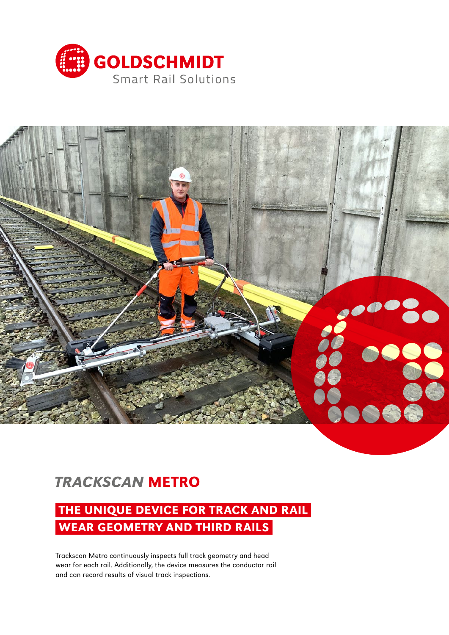



# *TRACKSCAN* METRO

## THE UNIQUE DEVICE FOR TRACK AND RAIL WEAR GEOMETRY AND THIRD RAILS

Trackscan Metro continuously inspects full track geometry and head wear for each rail. Additionally, the device measures the conductor rail and can record results of visual track inspections.